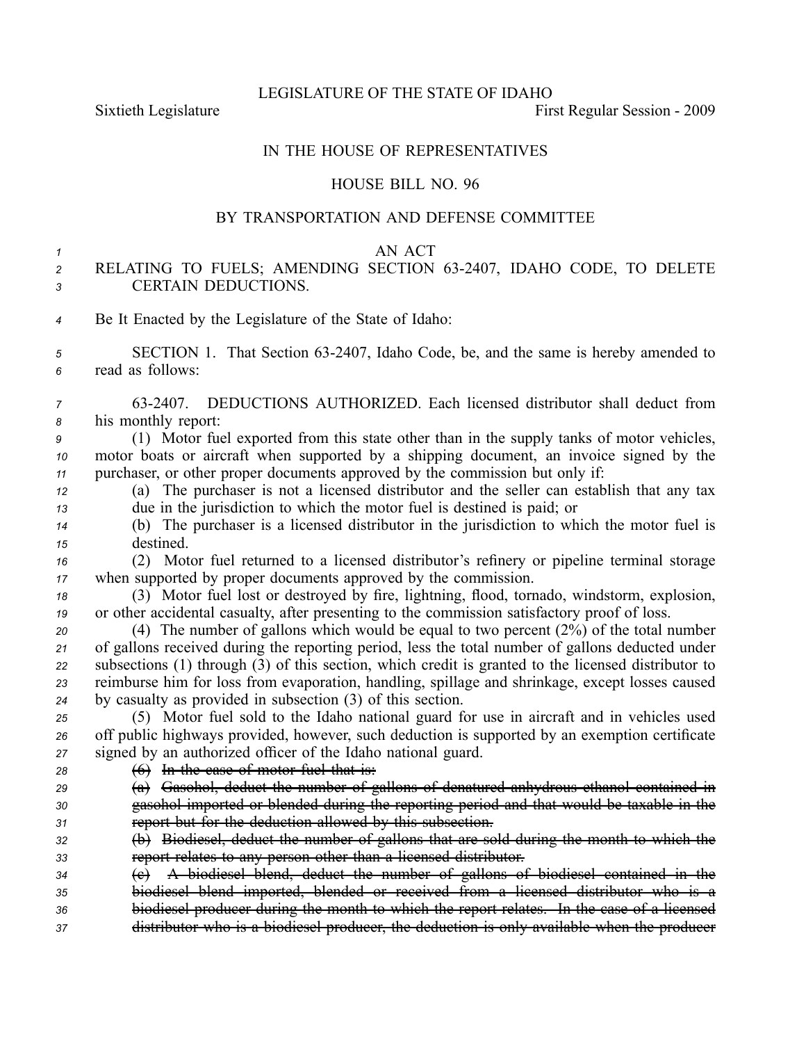LEGISLATURE OF THE STATE OF IDAHO

Sixtieth Legislature **First** Regular Session - 2009

## IN THE HOUSE OF REPRESENTATIVES

### HOUSE BILL NO. 96

### BY TRANSPORTATION AND DEFENSE COMMITTEE

#### *1* AN ACT

# *<sup>2</sup>* RELATING TO FUELS; AMENDING SECTION 632407, IDAHO CODE, TO DELETE *3* CERTAIN DEDUCTIONS.

- *<sup>4</sup>* Be It Enacted by the Legislature of the State of Idaho:
- 5 **SECTION 1.** That Section 63-2407, Idaho Code, be, and the same is hereby amended to *<sup>6</sup>* read as follows:
- *<sup>7</sup>* 632407. DEDUCTIONS AUTHORIZED. Each licensed distributor shall deduct from *<sup>8</sup>* his monthly report:
- *<sup>9</sup>* (1) Motor fuel exported from this state other than in the supply tanks of motor vehicles, *<sup>10</sup>* motor boats or aircraft when supported by <sup>a</sup> shipping document, an invoice signed by the *<sup>11</sup>* purchaser, or other proper documents approved by the commission but only if:
- *<sup>12</sup>* (a) The purchaser is not <sup>a</sup> licensed distributor and the seller can establish that any tax *<sup>13</sup>* due in the jurisdiction to which the motor fuel is destined is paid; or
- *<sup>14</sup>* (b) The purchaser is <sup>a</sup> licensed distributor in the jurisdiction to which the motor fuel is *<sup>15</sup>* destined.
- *<sup>16</sup>* (2) Motor fuel returned to <sup>a</sup> licensed distributor's refinery or pipeline terminal storage *<sup>17</sup>* when supported by proper documents approved by the commission.
- *<sup>18</sup>* (3) Motor fuel lost or destroyed by fire, lightning, flood, tornado, windstorm, explosion, *<sup>19</sup>* or other accidental casualty, after presenting to the commission satisfactory proof of loss.

 (4) The number of gallons which would be equal to two percen<sup>t</sup> (2%) of the total number of gallons received during the reporting period, less the total number of gallons deducted under subsections (1) through (3) of this section, which credit is granted to the licensed distributor to reimburse him for loss from evaporation, handling, spillage and shrinkage, excep<sup>t</sup> losses caused by casualty as provided in subsection (3) of this section.

*<sup>25</sup>* (5) Motor fuel sold to the Idaho national guard for use in aircraft and in vehicles used *<sup>26</sup>* off public highways provided, however, such deduction is supported by an exemption certificate *<sup>27</sup>* signed by an authorized officer of the Idaho national guard.

- *<sup>28</sup>* (6) In the case of motor fuel that is:
- *<sup>29</sup>* (a) Gasohol, deduct the number of gallons of denatured anhydrous ethanol contained in *<sup>30</sup>* gasohol imported or blended during the reporting period and that would be taxable in the *<sup>31</sup>* repor<sup>t</sup> but for the deduction allowed by this subsection.
- *<sup>32</sup>* (b) Biodiesel, deduct the number of gallons that are sold during the month to which the *<sup>33</sup>* repor<sup>t</sup> relates to any person other than <sup>a</sup> licensed distributor.
- *<sup>34</sup>* (c) A biodiesel blend, deduct the number of gallons of biodiesel contained in the *<sup>35</sup>* biodiesel blend imported, blended or received from <sup>a</sup> licensed distributor who is <sup>a</sup> *<sup>36</sup>* biodiesel producer during the month to which the repor<sup>t</sup> relates. In the case of <sup>a</sup> licensed
- *<sup>37</sup>* distributor who is <sup>a</sup> biodiesel producer, the deduction is only available when the producer